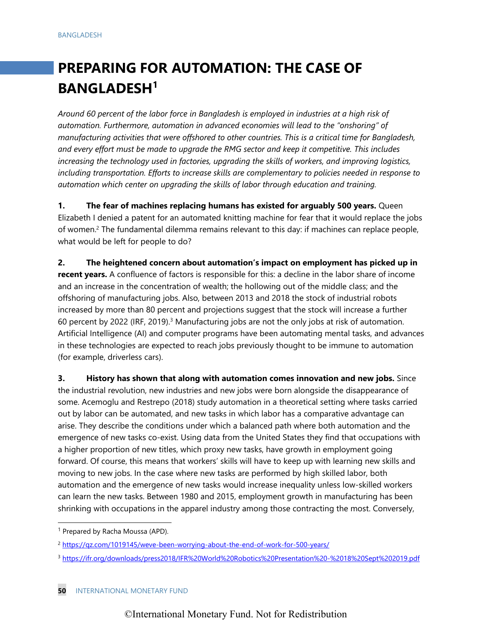# **PREPARING FOR AUTOMATION: THE CASE OF BANGLADESH1**

*Around 60 percent of the labor force in Bangladesh is employed in industries at a high risk of automation. Furthermore, automation in advanced economies will lead to the "onshoring" of manufacturing activities that were offshored to other countries. This is a critical time for Bangladesh, and every effort must be made to upgrade the RMG sector and keep it competitive. This includes increasing the technology used in factories, upgrading the skills of workers, and improving logistics, including transportation. Efforts to increase skills are complementary to policies needed in response to automation which center on upgrading the skills of labor through education and training.*

**1. The fear of machines replacing humans has existed for arguably 500 years.** Queen Elizabeth I denied a patent for an automated knitting machine for fear that it would replace the jobs of women.<sup>2</sup> The fundamental dilemma remains relevant to this day: if machines can replace people, what would be left for people to do?

**2. The heightened concern about automation's impact on employment has picked up in recent years.** A confluence of factors is responsible for this: a decline in the labor share of income and an increase in the concentration of wealth; the hollowing out of the middle class; and the offshoring of manufacturing jobs. Also, between 2013 and 2018 the stock of industrial robots increased by more than 80 percent and projections suggest that the stock will increase a further 60 percent by 2022 (IRF, 2019).<sup>3</sup> Manufacturing jobs are not the only jobs at risk of automation. Artificial Intelligence (AI) and computer programs have been automating mental tasks, and advances in these technologies are expected to reach jobs previously thought to be immune to automation (for example, driverless cars).

**3. History has shown that along with automation comes innovation and new jobs.** Since the industrial revolution, new industries and new jobs were born alongside the disappearance of some. Acemoglu and Restrepo (2018) study automation in a theoretical setting where tasks carried out by labor can be automated, and new tasks in which labor has a comparative advantage can arise. They describe the conditions under which a balanced path where both automation and the emergence of new tasks co-exist. Using data from the United States they find that occupations with a higher proportion of new titles, which proxy new tasks, have growth in employment going forward. Of course, this means that workers' skills will have to keep up with learning new skills and moving to new jobs. In the case where new tasks are performed by high skilled labor, both automation and the emergence of new tasks would increase inequality unless low-skilled workers can learn the new tasks. Between 1980 and 2015, employment growth in manufacturing has been shrinking with occupations in the apparel industry among those contracting the most. Conversely,

<sup>&</sup>lt;sup>1</sup> Prepared by Racha Moussa (APD).

<sup>&</sup>lt;sup>2</sup> <https://qz.com/1019145/weve-been-worrying-about-the-end-of-work-for-500-years/>

<sup>3</sup> <https://ifr.org/downloads/press2018/IFR%20World%20Robotics%20Presentation%20-%2018%20Sept%202019.pdf>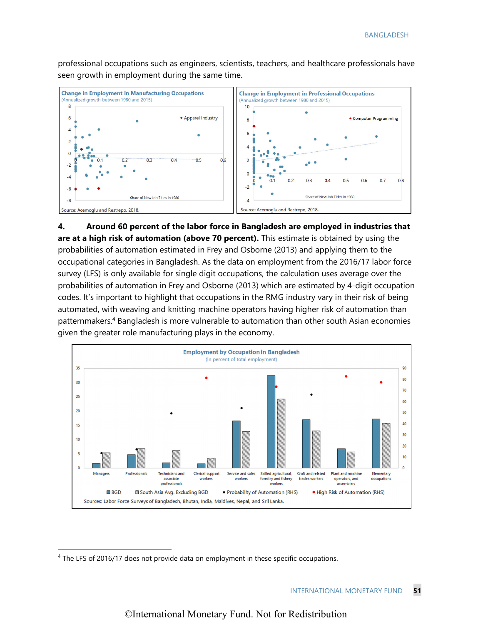professional occupations such as engineers, scientists, teachers, and healthcare professionals have seen growth in employment during the same time.



**4. Around 60 percent of the labor force in Bangladesh are employed in industries that are at a high risk of automation (above 70 percent).** This estimate is obtained by using the probabilities of automation estimated in Frey and Osborne (2013) and applying them to the occupational categories in Bangladesh. As the data on employment from the 2016/17 labor force survey (LFS) is only available for single digit occupations, the calculation uses average over the probabilities of automation in Frey and Osborne (2013) which are estimated by 4-digit occupation codes. It's important to highlight that occupations in the RMG industry vary in their risk of being automated, with weaving and knitting machine operators having higher risk of automation than patternmakers.4 Bangladesh is more vulnerable to automation than other south Asian economies given the greater role manufacturing plays in the economy.



<sup>&</sup>lt;sup>4</sup> The LFS of 2016/17 does not provide data on employment in these specific occupations.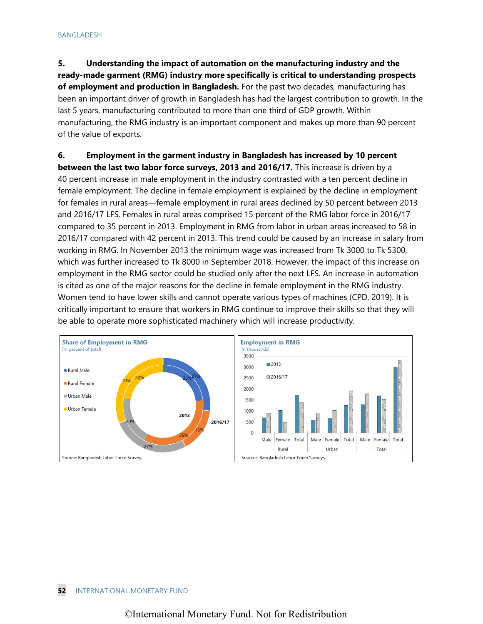## **5. Understanding the impact of automation on the manufacturing industry and the ready-made garment (RMG) industry more specifically is critical to understanding prospects of employment and production in Bangladesh.** For the past two decades, manufacturing has been an important driver of growth in Bangladesh has had the largest contribution to growth. In the last 5 years, manufacturing contributed to more than one third of GDP growth. Within manufacturing, the RMG industry is an important component and makes up more than 90 percent of the value of exports.

## **6. Employment in the garment industry in Bangladesh has increased by 10 percent**

**between the last two labor force surveys, 2013 and 2016/17.** This increase is driven by a 40 percent increase in male employment in the industry contrasted with a ten percent decline in female employment. The decline in female employment is explained by the decline in employment for females in rural areas—female employment in rural areas declined by 50 percent between 2013 and 2016/17 LFS. Females in rural areas comprised 15 percent of the RMG labor force in 2016/17 compared to 35 percent in 2013. Employment in RMG from labor in urban areas increased to 58 in 2016/17 compared with 42 percent in 2013. This trend could be caused by an increase in salary from working in RMG. In November 2013 the minimum wage was increased from Tk 3000 to Tk 5300, which was further increased to Tk 8000 in September 2018. However, the impact of this increase on employment in the RMG sector could be studied only after the next LFS. An increase in automation is cited as one of the major reasons for the decline in female employment in the RMG industry. Women tend to have lower skills and cannot operate various types of machines (CPD, 2019). It is critically important to ensure that workers in RMG continue to improve their skills so that they will be able to operate more sophisticated machinery which will increase productivity.

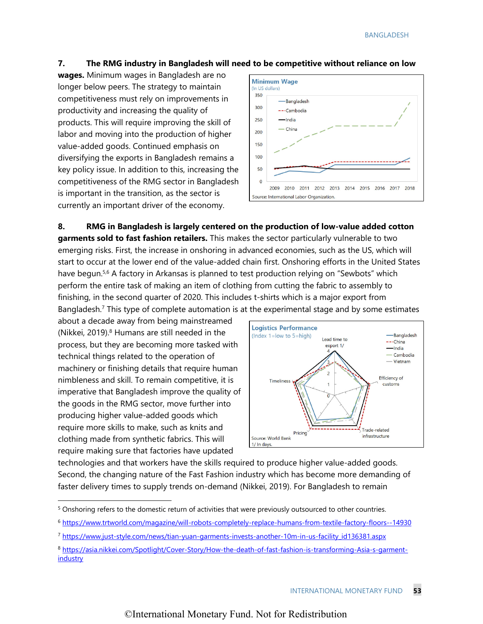#### **7. The RMG industry in Bangladesh will need to be competitive without reliance on low**

**wages.** Minimum wages in Bangladesh are no longer below peers. The strategy to maintain competitiveness must rely on improvements in productivity and increasing the quality of products. This will require improving the skill of labor and moving into the production of higher value-added goods. Continued emphasis on diversifying the exports in Bangladesh remains a key policy issue. In addition to this, increasing the competitiveness of the RMG sector in Bangladesh is important in the transition, as the sector is currently an important driver of the economy.



**8. RMG in Bangladesh is largely centered on the production of low-value added cotton garments sold to fast fashion retailers.** This makes the sector particularly vulnerable to two emerging risks. First, the increase in onshoring in advanced economies, such as the US, which will start to occur at the lower end of the value-added chain first. Onshoring efforts in the United States have begun.<sup>5,6</sup> A factory in Arkansas is planned to test production relying on "Sewbots" which perform the entire task of making an item of clothing from cutting the fabric to assembly to finishing, in the second quarter of 2020. This includes t-shirts which is a major export from Bangladesh.<sup>7</sup> This type of complete automation is at the experimental stage and by some estimates

about a decade away from being mainstreamed (Nikkei, 2019). $8$  Humans are still needed in the process, but they are becoming more tasked with technical things related to the operation of machinery or finishing details that require human nimbleness and skill. To remain competitive, it is imperative that Bangladesh improve the quality of the goods in the RMG sector, move further into producing higher value-added goods which require more skills to make, such as knits and clothing made from synthetic fabrics. This will require making sure that factories have updated



technologies and that workers have the skills required to produce higher value-added goods. Second, the changing nature of the Fast Fashion industry which has become more demanding of faster delivery times to supply trends on-demand (Nikkei, 2019). For Bangladesh to remain

<sup>&</sup>lt;sup>5</sup> Onshoring refers to the domestic return of activities that were previously outsourced to other countries.

<sup>6</sup> <https://www.trtworld.com/magazine/will-robots-completely-replace-humans-from-textile-factory-floors--14930>

<sup>7</sup> [https://www.just-style.com/news/tian-yuan-garments-invests-another-10m-in-us-facility\\_id136381.aspx](https://www.just-style.com/news/tian-yuan-garments-invests-another-10m-in-us-facility_id136381.aspx)

<sup>8</sup> [https://asia.nikkei.com/Spotlight/Cover-Story/How-the-death-of-fast-fashion-is-transforming-Asia-s-garment](https://asia.nikkei.com/Spotlight/Cover-Story/How-the-death-of-fast-fashion-is-transforming-Asia-s-garment-industry)**[industry](https://asia.nikkei.com/Spotlight/Cover-Story/How-the-death-of-fast-fashion-is-transforming-Asia-s-garment-industry)**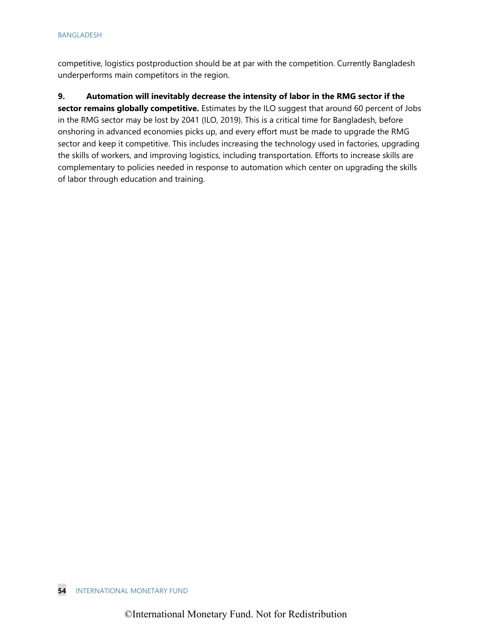competitive, logistics postproduction should be at par with the competition. Currently Bangladesh underperforms main competitors in the region.

## **9. Automation will inevitably decrease the intensity of labor in the RMG sector if the**

**sector remains globally competitive.** Estimates by the ILO suggest that around 60 percent of Jobs in the RMG sector may be lost by 2041 (ILO, 2019). This is a critical time for Bangladesh, before onshoring in advanced economies picks up, and every effort must be made to upgrade the RMG sector and keep it competitive. This includes increasing the technology used in factories, upgrading the skills of workers, and improving logistics, including transportation. Efforts to increase skills are complementary to policies needed in response to automation which center on upgrading the skills of labor through education and training.